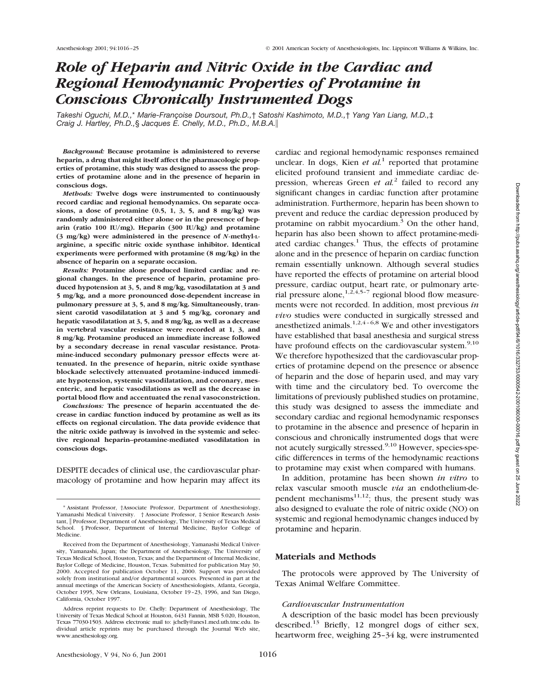# *Role of Heparin and Nitric Oxide in the Cardiac and Regional Hemodynamic Properties of Protamine in Conscious Chronically Instrumented Dogs*

*Takeshi Oguchi, M.D.,*\* *Marie-Françoise Doursout, Ph.D.,*† *Satoshi Kashimoto, M.D.,*† *Yang Yan Liang, M.D.,*‡ *Craig J. Hartley, Ph.D.,*§ *Jacques E. Chelly, M.D., Ph.D., M.B.A.*i

*Background:* **Because protamine is administered to reverse heparin, a drug that might itself affect the pharmacologic properties of protamine, this study was designed to assess the properties of protamine alone and in the presence of heparin in conscious dogs.**

*Methods:* **Twelve dogs were instrumented to continuously record cardiac and regional hemodynamics. On separate occasions, a dose of protamine (0.5, 1, 3, 5, and 8 mg/kg) was randomly administered either alone or in the presence of heparin (ratio 100 IU/mg). Heparin (300 IU/kg) and protamine (3 mg/kg) were administered in the presence of** *N***-methyl-Larginine, a specific nitric oxide synthase inhibitor. Identical experiments were performed with protamine (8 mg/kg) in the absence of heparin on a separate occasion.**

*Results:* **Protamine alone produced limited cardiac and regional changes. In the presence of heparin, protamine produced hypotension at 3, 5, and 8 mg/kg, vasodilatation at 3 and 5 mg/kg, and a more pronounced dose-dependent increase in pulmonary pressure at 3, 5, and 8 mg/kg. Simultaneously, transient carotid vasodilatation at 3 and 5 mg/kg, coronary and hepatic vasodilatation at 3, 5, and 8 mg/kg, as well as a decrease in vertebral vascular resistance were recorded at 1, 3, and 8 mg/kg. Protamine produced an immediate increase followed by a secondary decrease in renal vascular resistance. Protamine-induced secondary pulmonary pressor effects were attenuated. In the presence of heparin, nitric oxide synthase blockade selectively attenuated protamine-induced immediate hypotension, systemic vasodilatation, and coronary, mesenteric, and hepatic vasodilations as well as the decrease in portal blood flow and accentuated the renal vasoconstriction.**

*Conclusions:* **The presence of heparin accentuated the decrease in cardiac function induced by protamine as well as its effects on regional circulation. The data provide evidence that the nitric oxide pathway is involved in the systemic and selective regional heparin–protamine-mediated vasodilatation in conscious dogs.**

DESPITE decades of clinical use, the cardiovascular pharmacology of protamine and how heparin may affect its cardiac and regional hemodynamic responses remained unclear. In dogs, Kien *et al.*<sup>1</sup> reported that protamine elicited profound transient and immediate cardiac depression, whereas Green *et al.*<sup>2</sup> failed to record any significant changes in cardiac function after protamine administration. Furthermore, heparin has been shown to prevent and reduce the cardiac depression produced by protamine on rabbit myocardium.<sup>3</sup> On the other hand, heparin has also been shown to affect protamine-mediated cardiac changes. $<sup>1</sup>$  Thus, the effects of protamine</sup> alone and in the presence of heparin on cardiac function remain essentially unknown. Although several studies have reported the effects of protamine on arterial blood pressure, cardiac output, heart rate, or pulmonary arterial pressure alone,<sup>1,2,4,5-7</sup> regional blood flow measurements were not recorded. In addition, most previous *in vivo* studies were conducted in surgically stressed and anesthetized animals.<sup>1,2,4-6,8</sup> We and other investigators have established that basal anesthesia and surgical stress have profound effects on the cardiovascular system.<sup>9,10</sup> We therefore hypothesized that the cardiovascular properties of protamine depend on the presence or absence of heparin and the dose of heparin used, and may vary with time and the circulatory bed. To overcome the limitations of previously published studies on protamine, this study was designed to assess the immediate and secondary cardiac and regional hemodynamic responses to protamine in the absence and presence of heparin in conscious and chronically instrumented dogs that were not acutely surgically stressed.9,10 However, species-specific differences in terms of the hemodynamic reactions to protamine may exist when compared with humans.

In addition, protamine has been shown *in vitro* to relax vascular smooth muscle *via* an endothelium-dependent mechanisms $^{11,12}$ ; thus, the present study was also designed to evaluate the role of nitric oxide (NO) on systemic and regional hemodynamic changes induced by protamine and heparin.

#### **Materials and Methods**

The protocols were approved by The University of Texas Animal Welfare Committee.

# *Cardiovascular Instrumentation*

A description of the basic model has been previously described.<sup>13</sup> Briefly, 12 mongrel dogs of either sex, heartworm free, weighing 25–34 kg, were instrumented Downloaded from http://pubs.asahq.org/anesthesiology/article-pdf/94/6/1016/332753/0000542-200106000-00016.pdf by guest on 25 June 2022

<sup>\*</sup> Assistant Professor, †Associate Professor, Department of Anesthesiology, Yamanashi Medical University. † Associate Professor, ‡ Senior Research Assistant, Professor, Department of Anesthesiology, The University of Texas Medical School. § Professor, Department of Internal Medicine, Baylor College of Medicine.

Received from the Department of Anesthesiology, Yamanashi Medical University, Yamanashi, Japan; the Department of Anesthesiology, The University of Texas Medical School, Houston, Texas; and the Department of Internal Medicine, Baylor College of Medicine, Houston, Texas. Submitted for publication May 30, 2000. Accepted for publication October 11, 2000. Support was provided solely from institutional and/or departmental sources. Presented in part at the annual meetings of the American Society of Anesthesiologists, Atlanta, Georgia, October 1995, New Orleans, Louisiana, October 19–23, 1996, and San Diego, California, October 1997.

Address reprint requests to Dr. Chelly: Department of Anesthesiology, The University of Texas Medical School at Houston, 6431 Fannin, MSB 5.020, Houston, Texas 77030-1503. Address electronic mail to: jchelly@anes1.med.uth.tmc.edu. Individual article reprints may be purchased through the Journal Web site, www.anesthesiology.org.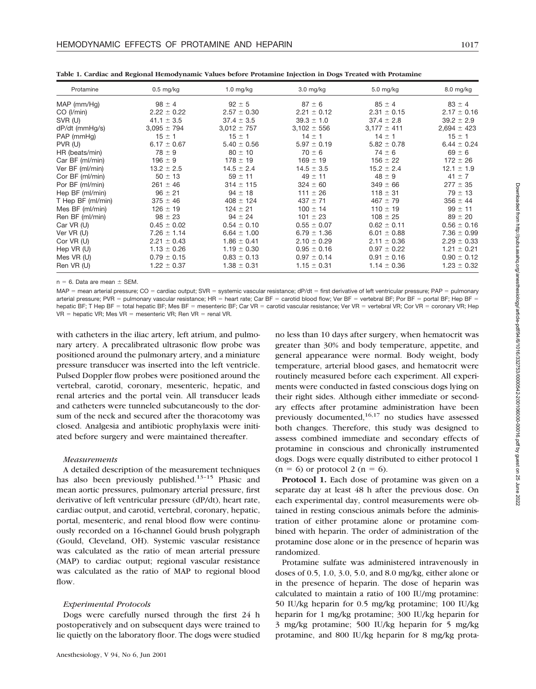| Protamine         | $0.5$ mg/kg     | $1.0$ mg/kg     | 3.0 mg/kg       | 5.0 mg/kg       | 8.0 mg/kg       |
|-------------------|-----------------|-----------------|-----------------|-----------------|-----------------|
| MAP (mm/Hg)       | $98 \pm 4$      | $92 \pm 5$      | $87 \pm 6$      | $85 \pm 4$      | $83 \pm 4$      |
| CO (I/min)        | $2.22 \pm 0.22$ | $2.57 \pm 0.30$ | $2.21 \pm 0.12$ | $2.31 \pm 0.15$ | $2.17 \pm 0.16$ |
| SVR (U)           | $41.1 \pm 3.5$  | $37.4 \pm 3.5$  | $39.3 \pm 1.0$  | $37.4 \pm 2.8$  | $39.2 \pm 2.9$  |
| $dP/dt$ (mmHg/s)  | $3,095 \pm 794$ | $3,012 \pm 757$ | $3,102 \pm 556$ | $3,177 \pm 411$ | $2,694 \pm 423$ |
| PAP (mmHg)        | $15 \pm 1$      | $15 \pm 1$      | $14 \pm 1$      | $14 \pm 1$      | $15 \pm 1$      |
| PVR(U)            | $6.17 \pm 0.67$ | $5.40 \pm 0.56$ | $5.97 \pm 0.19$ | $5.82 \pm 0.78$ | $6.44 \pm 0.24$ |
| HR (beats/min)    | $78 \pm 9$      | $80 \pm 10$     | $70 \pm 6$      | $74 \pm 6$      | $69 \pm 6$      |
| Car BF (ml/min)   | $196 \pm 9$     | $178 \pm 19$    | $169 \pm 19$    | $156 \pm 22$    | $172 \pm 26$    |
| Ver BF (ml/min)   | $13.2 \pm 2.5$  | $14.5 \pm 2.4$  | $14.5 \pm 3.5$  | $15.2 \pm 2.4$  | $12.1 \pm 1.9$  |
| Cor BF (ml/min)   | $50 \pm 13$     | $59 \pm 11$     | $49 \pm 11$     | $48 \pm 9$      | $41 \pm 7$      |
| Por BF (ml/min)   | $261 \pm 46$    | $314 \pm 115$   | $324 \pm 60$    | $349 \pm 66$    | $277 \pm 35$    |
| Hep BF (ml/min)   | $96 \pm 21$     | $94 \pm 18$     | $111 \pm 26$    | $118 \pm 31$    | $79 \pm 13$     |
| T Hep BF (ml/min) | $375 \pm 46$    | $408 \pm 124$   | $437 \pm 71$    | $467 \pm 79$    | $356 \pm 44$    |
| Mes BF (ml/min)   | $126 \pm 19$    | $124 \pm 21$    | $100 \pm 14$    | $110 \pm 19$    | $99 \pm 11$     |
| Ren BF (ml/min)   | $98 \pm 23$     | $94 \pm 24$     | $101 \pm 23$    | $108 \pm 25$    | $89 \pm 20$     |
| Car $VR(U)$       | $0.45 \pm 0.02$ | $0.54 \pm 0.10$ | $0.55 \pm 0.07$ | $0.62 \pm 0.11$ | $0.56 \pm 0.16$ |
| Ver VR (U)        | $7.26 \pm 1.14$ | $6.64 \pm 1.00$ | $6.79 \pm 1.36$ | $6.01 \pm 0.88$ | $7.36 \pm 0.99$ |
| Cor VR (U)        | $2.21 \pm 0.43$ | $1.86 \pm 0.41$ | $2.10 \pm 0.29$ | $2.11 \pm 0.36$ | $2.29 \pm 0.33$ |
| Hep $VR(U)$       | $1.13 \pm 0.26$ | $1.19 \pm 0.30$ | $0.95 \pm 0.16$ | $0.97 \pm 0.22$ | $1.21 \pm 0.21$ |
| Mes $VR(U)$       | $0.79 \pm 0.15$ | $0.83 \pm 0.13$ | $0.97 \pm 0.14$ | $0.91 \pm 0.16$ | $0.90 \pm 0.12$ |
| Ren VR (U)        | $1.22 \pm 0.37$ | $1.38 \pm 0.31$ | $1.15 \pm 0.31$ | $1.14 \pm 0.36$ | $1.23 \pm 0.32$ |

**Table 1. Cardiac and Regional Hemodynamic Values before Protamine Injection in Dogs Treated with Protamine**

 $n = 6$ . Data are mean  $\pm$  SEM.

MAP = mean arterial pressure; CO = cardiac output; SVR = systemic vascular resistance; dP/dt = first derivative of left ventricular pressure; PAP = pulmonary arterial pressure; PVR = pulmonary vascular resistance; HR = heart rate; Car BF = carotid blood flow; Ver BF = vertebral BF; Por BF = portal BF; Hep BF = hepatic BF; T Hep BF = total hepatic BF; Mes BF = mesenteric BF; Car VR = carotid vascular resistance; Ver VR = vertebral VR; Cor VR = coronary VR; Hep  $VR =$  hepatic VR; Mes VR = mesenteric VR; Ren VR = renal VR.

with catheters in the iliac artery, left atrium, and pulmonary artery. A precalibrated ultrasonic flow probe was positioned around the pulmonary artery, and a miniature pressure transducer was inserted into the left ventricle. Pulsed Doppler flow probes were positioned around the vertebral, carotid, coronary, mesenteric, hepatic, and renal arteries and the portal vein. All transducer leads and catheters were tunneled subcutaneously to the dorsum of the neck and secured after the thoracotomy was closed. Analgesia and antibiotic prophylaxis were initiated before surgery and were maintained thereafter.

#### *Measurements*

A detailed description of the measurement techniques has also been previously published.<sup>13-15</sup> Phasic and mean aortic pressures, pulmonary arterial pressure, first derivative of left ventricular pressure (dP/dt), heart rate, cardiac output, and carotid, vertebral, coronary, hepatic, portal, mesenteric, and renal blood flow were continuously recorded on a 16-channel Gould brush polygraph (Gould, Cleveland, OH). Systemic vascular resistance was calculated as the ratio of mean arterial pressure (MAP) to cardiac output; regional vascular resistance was calculated as the ratio of MAP to regional blood flow.

# *Experimental Protocols*

Dogs were carefully nursed through the first 24 h postoperatively and on subsequent days were trained to lie quietly on the laboratory floor. The dogs were studied no less than 10 days after surgery, when hematocrit was greater than 30% and body temperature, appetite, and general appearance were normal. Body weight, body temperature, arterial blood gases, and hematocrit were routinely measured before each experiment. All experiments were conducted in fasted conscious dogs lying on their right sides. Although either immediate or secondary effects after protamine administration have been previously documented, $16,17$  no studies have assessed both changes. Therefore, this study was designed to assess combined immediate and secondary effects of protamine in conscious and chronically instrumented dogs. Dogs were equally distributed to either protocol 1  $(n = 6)$  or protocol 2  $(n = 6)$ .

**Protocol 1.** Each dose of protamine was given on a separate day at least 48 h after the previous dose. On each experimental day, control measurements were obtained in resting conscious animals before the administration of either protamine alone or protamine combined with heparin. The order of administration of the protamine dose alone or in the presence of heparin was randomized.

Protamine sulfate was administered intravenously in doses of 0.5, 1.0, 3.0, 5.0, and 8.0 mg/kg, either alone or in the presence of heparin. The dose of heparin was calculated to maintain a ratio of 100 IU/mg protamine: 50 IU/kg heparin for 0.5 mg/kg protamine; 100 IU/kg heparin for 1 mg/kg protamine; 300 IU/kg heparin for 3 mg/kg protamine; 500 IU/kg heparin for 5 mg/kg protamine, and 800 IU/kg heparin for 8 mg/kg prota-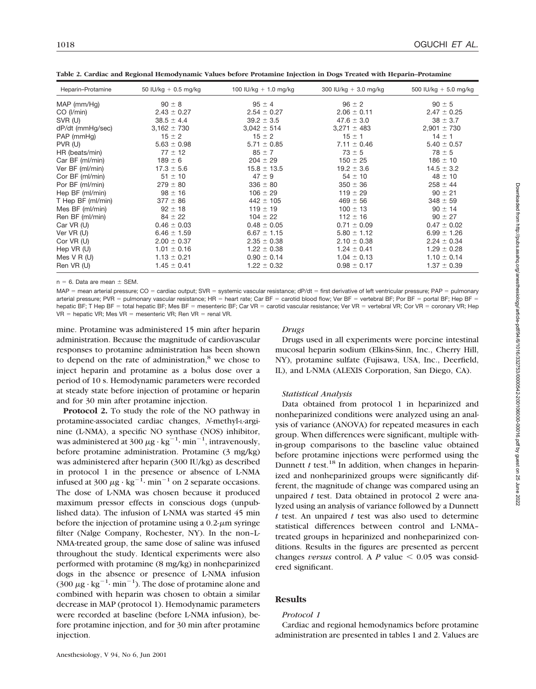| Heparin-Protamine | 50 IU/kg $+$ 0.5 mg/kg | 100 IU/kg $+$ 1.0 mg/kg | 300 IU/kg $+3.0$ mg/kg | 500 IU/kg $+ 5.0$ mg/kg |
|-------------------|------------------------|-------------------------|------------------------|-------------------------|
| MAP (mm/Hg)       | $90 \pm 8$             | $95 \pm 4$              | $96 \pm 2$             | $90 \pm 5$              |
| CO (I/min)        | $2.43 \pm 0.27$        | $2.54 \pm 0.27$         | $2.06 \pm 0.11$        | $2.47 \pm 0.25$         |
| SVR (U)           | $38.5 \pm 4.4$         | $39.2 \pm 3.5$          | $47.6 \pm 3.0$         | $38 \pm 3.7$            |
| dP/dt (mmHg/sec)  | $3,162 \pm 730$        | $3,042 \pm 514$         | $3,271 \pm 483$        | $2,901 \pm 730$         |
| PAP (mmHg)        | $15 \pm 2$             | $15 \pm 2$              | $15 \pm 1$             | $14 \pm 1$              |
| PVR(U)            | $5.63 \pm 0.98$        | $5.71 \pm 0.85$         | 7.11 $\pm$ 0.46        | $5.40 \pm 0.57$         |
| HR (beats/min)    | $77 \pm 12$            | $85 \pm 7$              | $73 \pm 5$             | $78 \pm 5$              |
| Car BF (ml/min)   | $189 \pm 6$            | $204 \pm 29$            | $150 \pm 25$           | $186 \pm 10$            |
| Ver BF (ml/min)   | $17.3 \pm 5.6$         | $15.8 \pm 13.5$         | $19.2 \pm 3.6$         | $14.5 \pm 3.2$          |
| Cor BF (ml/min)   | $51 \pm 10$            | $47 \pm 9$              | $54 \pm 10$            | $48 \pm 10$             |
| Por BF (ml/min)   | $279 \pm 80$           | $336 \pm 80$            | $350 \pm 36$           | $258 \pm 44$            |
| Hep BF (ml/min)   | $98 \pm 16$            | $106 \pm 29$            | $119 \pm 29$           | $90 \pm 21$             |
| T Hep BF (ml/min) | $377 \pm 86$           | $442 \pm 105$           | $469 \pm 56$           | $348 \pm 59$            |
| Mes BF (ml/min)   | $92 \pm 18$            | $119 \pm 19$            | $100 \pm 13$           | $90 \pm 14$             |
| Ren BF (ml/min)   | $84 \pm 22$            | $104 \pm 22$            | $112 \pm 16$           | $90 \pm 27$             |
| Car $VR(U)$       | $0.46 \pm 0.03$        | $0.48 \pm 0.05$         | $0.71 \pm 0.09$        | $0.47 \pm 0.02$         |
| Ver $VR(U)$       | $6.46 \pm 1.59$        | $6.67 \pm 1.15$         | $5.80 \pm 1.12$        | $6.99 \pm 1.26$         |
| Cor $VR(U)$       | $2.00 \pm 0.37$        | $2.35 \pm 0.38$         | $2.10 \pm 0.38$        | $2.24 \pm 0.34$         |
| Hep $VR(U)$       | $1.01 \pm 0.16$        | $1.22 \pm 0.38$         | $1.24 \pm 0.41$        | $1.29 \pm 0.28$         |
| Mes $V R(U)$      | $1.13 \pm 0.21$        | $0.90 \pm 0.14$         | $1.04 \pm 0.13$        | $1.10 \pm 0.14$         |
| Ren VR (U)        | $1.45 \pm 0.41$        | $1.22 \pm 0.32$         | $0.98 \pm 0.17$        | $1.37 \pm 0.39$         |

**Table 2. Cardiac and Regional Hemodynamic Values before Protamine Injection in Dogs Treated with Heparin–Protamine**

 $n = 6$ . Data are mean  $\pm$  SEM.

MAP = mean arterial pressure; CO = cardiac output; SVR = systemic vascular resistance; dP/dt = first derivative of left ventricular pressure; PAP = pulmonary arterial pressure; PVR = pulmonary vascular resistance; HR = heart rate; Car BF = carotid blood flow; Ver BF = vertebral BF; Por BF = portal BF; Hep BF hepatic BF; T Hep BF = total hepatic BF; Mes BF = mesenteric BF; Car VR = carotid vascular resistance; Ver VR = vertebral VR; Cor VR = coronary VR; Hep  $VR =$  hepatic VR; Mes VR = mesenteric VR; Ren VR = renal VR.

mine. Protamine was administered 15 min after heparin administration. Because the magnitude of cardiovascular responses to protamine administration has been shown to depend on the rate of administration, $8$  we chose to inject heparin and protamine as a bolus dose over a period of 10 s. Hemodynamic parameters were recorded at steady state before injection of protamine or heparin and for 30 min after protamine injection.

**Protocol 2.** To study the role of the NO pathway in protamine-associated cardiac changes, *N*-methyl-L-arginine (L-NMA), a specific NO synthase (NOS) inhibitor, was administered at 300  $\mu$ g · kg<sup>-1</sup>·min<sup>-1</sup>, intravenously, before protamine administration. Protamine (3 mg/kg) was administered after heparin (300 IU/kg) as described in protocol 1 in the presence or absence of L-NMA infused at 300  $\mu$ g · kg<sup>-1</sup>·min<sup>-1</sup> on 2 separate occasions. The dose of L-NMA was chosen because it produced maximum pressor effects in conscious dogs (unpublished data). The infusion of L-NMA was started 45 min before the injection of protamine using a  $0.2$ - $\mu$ m syringe filter (Nalge Company, Rochester, NY). In the non–L-NMA-treated group, the same dose of saline was infused throughout the study. Identical experiments were also performed with protamine (8 mg/kg) in nonheparinized dogs in the absence or presence of L-NMA infusion  $(300 \ \mu g \cdot kg^{-1} \cdot min^{-1})$ . The dose of protamine alone and combined with heparin was chosen to obtain a similar decrease in MAP (protocol 1). Hemodynamic parameters were recorded at baseline (before L-NMA infusion), before protamine injection, and for 30 min after protamine injection.

# *Drugs*

Drugs used in all experiments were porcine intestinal mucosal heparin sodium (Elkins-Sinn, Inc., Cherry Hill, NY), protamine sulfate (Fujisawa, USA, Inc., Deerfield, IL), and L-NMA (ALEXIS Corporation, San Diego, CA).

#### *Statistical Analysis*

Data obtained from protocol 1 in heparinized and nonheparinized conditions were analyzed using an analysis of variance (ANOVA) for repeated measures in each group. When differences were significant, multiple within-group comparisons to the baseline value obtained before protamine injections were performed using the Dunnett  $t$  test.<sup>18</sup> In addition, when changes in heparinized and nonheparinized groups were significantly different, the magnitude of change was compared using an unpaired *t* test. Data obtained in protocol 2 were analyzed using an analysis of variance followed by a Dunnett *t* test. An unpaired *t* test was also used to determine statistical differences between control and L-NMA– treated groups in heparinized and nonheparinized conditions. Results in the figures are presented as percent changes *versus* control. A *P* value  $< 0.05$  was considered significant.

# **Results**

#### *Protocol 1*

Cardiac and regional hemodynamics before protamine administration are presented in tables 1 and 2. Values are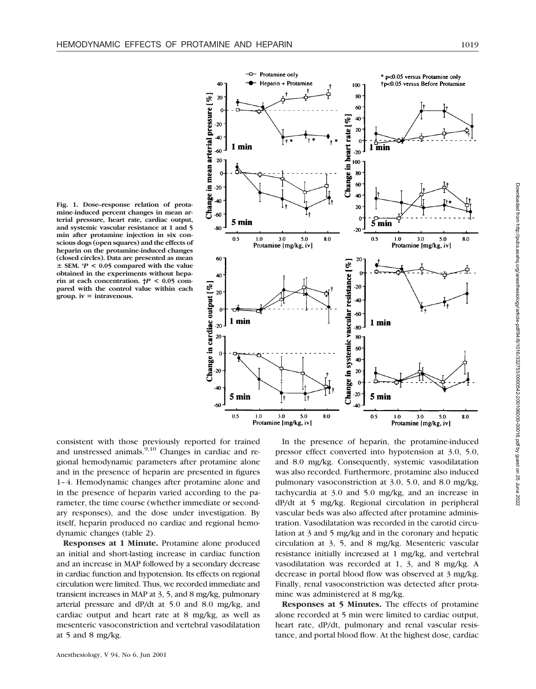**Fig. 1. Dose–response relation of protamine-induced percent changes in mean arterial pressure, heart rate, cardiac output, and systemic vascular resistance at 1 and 5 min after protamine injection in six conscious dogs (open squares) and the effects of heparin on the protamine-induced changes (closed circles). Data are presented as mean**  $\pm$  SEM.  $*P < 0.05$  compared with the value **obtained in the experiments without heparin at each concentration. †***P* **< 0.05 compared with the control value within each**  $group.$   $iv =$   $intravenous.$ 



consistent with those previously reported for trained and unstressed animals.<sup>9,10</sup> Changes in cardiac and regional hemodynamic parameters after protamine alone and in the presence of heparin are presented in figures 1–4. Hemodynamic changes after protamine alone and in the presence of heparin varied according to the parameter, the time course (whether immediate or secondary responses), and the dose under investigation. By itself, heparin produced no cardiac and regional hemodynamic changes (table 2).

**Responses at 1 Minute.** Protamine alone produced an initial and short-lasting increase in cardiac function and an increase in MAP followed by a secondary decrease in cardiac function and hypotension. Its effects on regional circulation were limited. Thus, we recorded immediate and transient increases in MAP at 3, 5, and 8 mg/kg, pulmonary arterial pressure and dP/dt at 5.0 and 8.0 mg/kg, and cardiac output and heart rate at 8 mg/kg, as well as mesenteric vasoconstriction and vertebral vasodilatation at 5 and 8 mg/kg.

In the presence of heparin, the protamine-induced pressor effect converted into hypotension at 3.0, 5.0, and 8.0 mg/kg. Consequently, systemic vasodilatation was also recorded. Furthermore, protamine also induced pulmonary vasoconstriction at 3.0, 5.0, and 8.0 mg/kg, tachycardia at 3.0 and 5.0 mg/kg, and an increase in dP/dt at 5 mg/kg. Regional circulation in peripheral vascular beds was also affected after protamine administration. Vasodilatation was recorded in the carotid circulation at 3 and 5 mg/kg and in the coronary and hepatic circulation at 3, 5, and 8 mg/kg. Mesenteric vascular resistance initially increased at 1 mg/kg, and vertebral vasodilatation was recorded at 1, 3, and 8 mg/kg. A decrease in portal blood flow was observed at 3 mg/kg. Finally, renal vasoconstriction was detected after protamine was administered at 8 mg/kg.

**Responses at 5 Minutes.** The effects of protamine alone recorded at 5 min were limited to cardiac output, heart rate, dP/dt, pulmonary and renal vascular resistance, and portal blood flow. At the highest dose, cardiac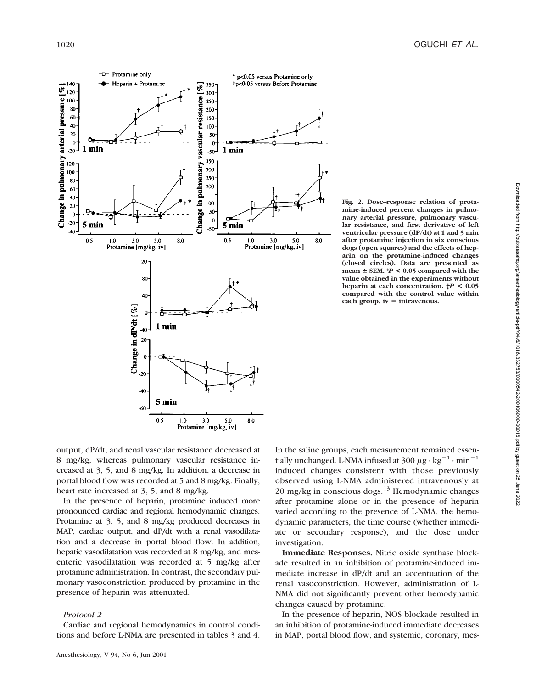

**Fig. 2. Dose–response relation of protamine-induced percent changes in pulmonary arterial pressure, pulmonary vascular resistance, and first derivative of left ventricular pressure (dP/dt) at 1 and 5 min after protamine injection in six conscious dogs (open squares) and the effects of heparin on the protamine-induced changes (closed circles). Data are presented as**  $mean \pm SEM. *P < 0.05$  compared with the **value obtained in the experiments without heparin at each concentration. †***P* **< 0.05 compared with the control value within each group. iv** = **intravenous.** 

output, dP/dt, and renal vascular resistance decreased at 8 mg/kg, whereas pulmonary vascular resistance increased at 3, 5, and 8 mg/kg. In addition, a decrease in portal blood flow was recorded at 5 and 8 mg/kg. Finally, heart rate increased at 3, 5, and 8 mg/kg.

In the presence of heparin, protamine induced more pronounced cardiac and regional hemodynamic changes. Protamine at 3, 5, and 8 mg/kg produced decreases in MAP, cardiac output, and dP/dt with a renal vasodilatation and a decrease in portal blood flow. In addition, hepatic vasodilatation was recorded at 8 mg/kg, and mesenteric vasodilatation was recorded at 5 mg/kg after protamine administration. In contrast, the secondary pulmonary vasoconstriction produced by protamine in the presence of heparin was attenuated.

# *Protocol 2*

Cardiac and regional hemodynamics in control conditions and before L-NMA are presented in tables 3 and 4. In the saline groups, each measurement remained essentially unchanged. L-NMA infused at  $300 \mu g \cdot kg^{-1} \cdot min^{-1}$ induced changes consistent with those previously observed using L-NMA administered intravenously at 20 mg/kg in conscious dogs.<sup>13</sup> Hemodynamic changes after protamine alone or in the presence of heparin varied according to the presence of L-NMA, the hemodynamic parameters, the time course (whether immediate or secondary response), and the dose under investigation.

**Immediate Responses.** Nitric oxide synthase blockade resulted in an inhibition of protamine-induced immediate increase in dP/dt and an accentuation of the renal vasoconstriction. However, administration of L-NMA did not significantly prevent other hemodynamic changes caused by protamine.

In the presence of heparin, NOS blockade resulted in an inhibition of protamine-induced immediate decreases in MAP, portal blood flow, and systemic, coronary, mes-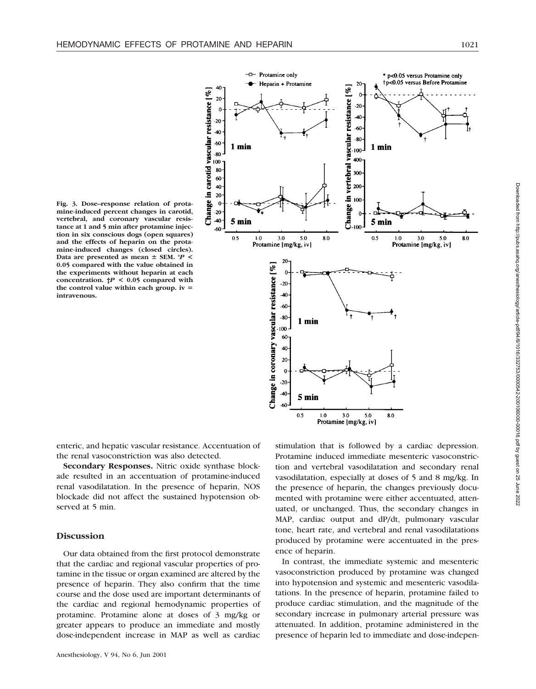**Fig. 3. Dose–response relation of protamine-induced percent changes in carotid, vertebral, and coronary vascular resistance at 1 and 5 min after protamine injection in six conscious dogs (open squares) and the effects of heparin on the protamine-induced changes (closed circles).** Data are presented as mean  $\pm$  SEM.  $*P$  < **0.05 compared with the value obtained in the experiments without heparin at each concentration. †***P* **< 0.05 compared with** the control value within each group.  $iv =$ **intravenous.**



enteric, and hepatic vascular resistance. Accentuation of the renal vasoconstriction was also detected.

**Secondary Responses.** Nitric oxide synthase blockade resulted in an accentuation of protamine-induced renal vasodilatation. In the presence of heparin, NOS blockade did not affect the sustained hypotension observed at 5 min.

# **Discussion**

Our data obtained from the first protocol demonstrate that the cardiac and regional vascular properties of protamine in the tissue or organ examined are altered by the presence of heparin. They also confirm that the time course and the dose used are important determinants of the cardiac and regional hemodynamic properties of protamine. Protamine alone at doses of 3 mg/kg or greater appears to produce an immediate and mostly dose-independent increase in MAP as well as cardiac

stimulation that is followed by a cardiac depression. Protamine induced immediate mesenteric vasoconstriction and vertebral vasodilatation and secondary renal vasodilatation, especially at doses of 5 and 8 mg/kg. In the presence of heparin, the changes previously documented with protamine were either accentuated, attenuated, or unchanged. Thus, the secondary changes in MAP, cardiac output and dP/dt, pulmonary vascular tone, heart rate, and vertebral and renal vasodilatations produced by protamine were accentuated in the presence of heparin.

In contrast, the immediate systemic and mesenteric vasoconstriction produced by protamine was changed into hypotension and systemic and mesenteric vasodilatations. In the presence of heparin, protamine failed to produce cardiac stimulation, and the magnitude of the secondary increase in pulmonary arterial pressure was attenuated. In addition, protamine administered in the presence of heparin led to immediate and dose-indepen-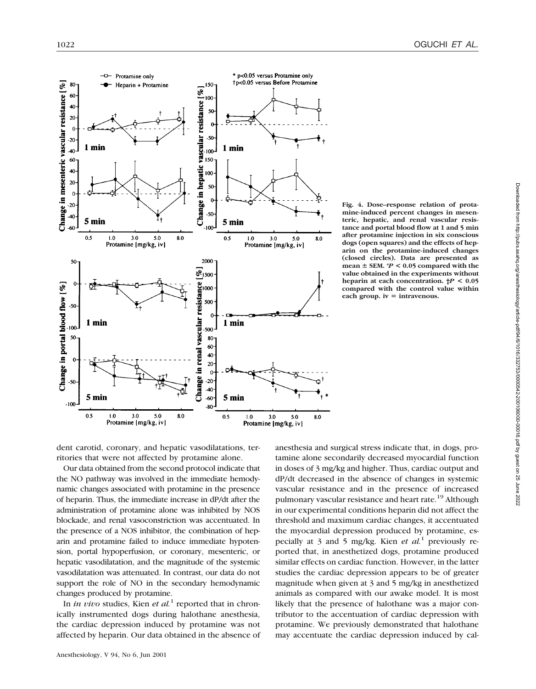

**Fig. 4. Dose–response relation of protamine-induced percent changes in mesenteric, hepatic, and renal vascular resistance and portal blood flow at 1 and 5 min after protamine injection in six conscious dogs (open squares) and the effects of heparin on the protamine-induced changes (closed circles). Data are presented as**  $mean \pm SEM$ .  $*P < 0.05$  compared with the **value obtained in the experiments without heparin at each concentration. †***P* **< 0.05 compared with the control value within**  $\text{each group.}$   $\text{iv} = \text{intravenous.}$ 

dent carotid, coronary, and hepatic vasodilatations, territories that were not affected by protamine alone.

Our data obtained from the second protocol indicate that the NO pathway was involved in the immediate hemodynamic changes associated with protamine in the presence of heparin. Thus, the immediate increase in dP/dt after the administration of protamine alone was inhibited by NOS blockade, and renal vasoconstriction was accentuated. In the presence of a NOS inhibitor, the combination of heparin and protamine failed to induce immediate hypotension, portal hypoperfusion, or coronary, mesenteric, or hepatic vasodilatation, and the magnitude of the systemic vasodilatation was attenuated. In contrast, our data do not support the role of NO in the secondary hemodynamic changes produced by protamine.

In *in vivo* studies, Kien *et al.*<sup>1</sup> reported that in chronically instrumented dogs during halothane anesthesia, the cardiac depression induced by protamine was not affected by heparin. Our data obtained in the absence of

Anesthesiology, V 94, No 6, Jun 2001

anesthesia and surgical stress indicate that, in dogs, protamine alone secondarily decreased myocardial function in doses of 3 mg/kg and higher. Thus, cardiac output and dP/dt decreased in the absence of changes in systemic vascular resistance and in the presence of increased pulmonary vascular resistance and heart rate.<sup>19</sup> Although in our experimental conditions heparin did not affect the threshold and maximum cardiac changes, it accentuated the myocardial depression produced by protamine, especially at 3 and 5 mg/kg. Kien *et al.*<sup>1</sup> previously reported that, in anesthetized dogs, protamine produced similar effects on cardiac function. However, in the latter studies the cardiac depression appears to be of greater magnitude when given at 3 and 5 mg/kg in anesthetized animals as compared with our awake model. It is most likely that the presence of halothane was a major contributor to the accentuation of cardiac depression with protamine. We previously demonstrated that halothane may accentuate the cardiac depression induced by calDownloaded from http://pubs.asahq.org/anesthesiology/article-pdf/94/6/1016/332753/0000542-200106000-00016.pdf by guest on 25 June 2022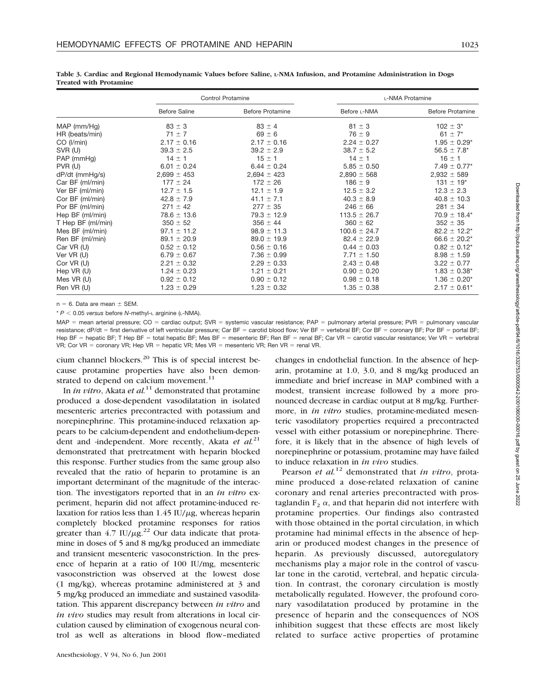|                   | <b>Control Protamine</b> |                         |                  | L-NMA Protamine           |
|-------------------|--------------------------|-------------------------|------------------|---------------------------|
|                   | <b>Before Saline</b>     | <b>Before Protamine</b> | Before L-NMA     | <b>Before Protamine</b>   |
| MAP (mm/Hg)       | $83 \pm 3$               | $83 \pm 4$              | $81 \pm 3$       | $102 \pm 3^*$             |
| HR (beats/min)    | $71 \pm 7$               | $69 \pm 6$              | $76 \pm 9$       | 61 $\pm$ 7*               |
| CO (I/min)        | $2.17 \pm 0.16$          | $2.17 \pm 0.16$         | $2.24 \pm 0.27$  | $1.95 \pm 0.29^*$         |
| SVR (U)           | $39.3 \pm 2.5$           | $39.2 \pm 2.9$          | $38.7 \pm 5.2$   | $56.5 \pm 7.8^*$          |
| PAP (mmHg)        | $14 \pm 1$               | $15 \pm 1$              | $14 \pm 1$       | $16 \pm 1$                |
| PVR(U)            | $6.01 \pm 0.24$          | $6.44 \pm 0.24$         | $5.85 \pm 0.50$  | $7.49 \pm 0.77$ *         |
| dP/dt (mmHg/s)    | $2,699 \pm 453$          | $2,694 \pm 423$         | $2,890 \pm 568$  | $2,932 \pm 589$           |
| Car BF (ml/min)   | $177 \pm 24$             | $172 \pm 26$            | $186 \pm 9$      | $131 \pm 19$ <sup>*</sup> |
| Ver BF (ml/min)   | $12.7 \pm 1.5$           | $12.1 \pm 1.9$          | $12.5 \pm 3.2$   | $12.3 \pm 2.3$            |
| Cor BF (ml/min)   | $42.8 \pm 7.9$           | $41.1 \pm 7.1$          | $40.3 \pm 8.9$   | $40.8 \pm 10.3$           |
| Por BF (ml/min)   | $271 \pm 42$             | $277 \pm 35$            | $246 \pm 66$     | $281 \pm 34$              |
| Hep BF (ml/min)   | $78.6 \pm 13.6$          | $79.3 \pm 12.9$         | $113.5 \pm 26.7$ | $70.9 \pm 18.4*$          |
| T Hep BF (ml/min) | $350 \pm 52$             | $356 \pm 44$            | $360 \pm 62$     | $352 \pm 35$              |
| Mes BF (ml/min)   | $97.1 \pm 11.2$          | $98.9 \pm 11.3$         | $100.6 \pm 24.7$ | $82.2 \pm 12.2^*$         |
| Ren BF (ml/min)   | $89.1 \pm 20.9$          | $89.0 \pm 19.9$         | $82.4 \pm 22.9$  | $66.6 \pm 20.2^*$         |
| Car $VR(U)$       | $0.52 \pm 0.12$          | $0.56 \pm 0.16$         | $0.44 \pm 0.03$  | $0.82 \pm 0.12^*$         |
| Ver VR (U)        | $6.79 \pm 0.67$          | $7.36 \pm 0.99$         | $7.71 \pm 1.50$  | $8.98 \pm 1.59$           |
| Cor VR (U)        | $2.21 \pm 0.32$          | $2.29 \pm 0.33$         | $2.43 \pm 0.48$  | $3.22 \pm 0.77$           |
| Hep VR (U)        | $1.24 \pm 0.23$          | $1.21 \pm 0.21$         | $0.90 \pm 0.20$  | $1.83 \pm 0.38^*$         |
| Mes $VR(U)$       | $0.92 \pm 0.12$          | $0.90 \pm 0.12$         | $0.98 \pm 0.18$  | $1.36 \pm 0.20^*$         |
| Ren VR (U)        | $1.23 \pm 0.29$          | $1.23 \pm 0.32$         | $1.35 \pm 0.38$  | $2.17 \pm 0.61^*$         |

**Table 3. Cardiac and Regional Hemodynamic Values before Saline, L-NMA Infusion, and Protamine Administration in Dogs Treated with Protamine**

 $n = 6$ . Data are mean  $\pm$  SEM.

\* *P* , 0.05 *versus* before *N*-methyl-L arginine (L-NMA).

MAP = mean arterial pressure; CO = cardiac output; SVR = systemic vascular resistance; PAP = pulmonary arterial pressure; PVR = pulmonary vascular resistance; dP/dt = first derivative of left ventricular pressure; Car BF = carotid blood flow; Ver BF = vertebral BF; Cor BF = coronary BF; Por BF = portal BF; Hep BF = hepatic BF; T Hep BF = total hepatic BF; Mes BF = mesenteric BF; Ren BF = renal BF; Car VR = carotid vascular resistance; Ver VR = vertebral VR; Cor VR = coronary VR; Hep VR = hepatic VR; Mes VR = mesenteric VR; Ren VR = renal VR.

cium channel blockers.<sup>20</sup> This is of special interest because protamine properties have also been demonstrated to depend on calcium movement. $^{11}$ 

In *in vitro*, Akata *et al.*<sup>11</sup> demonstrated that protamine produced a dose-dependent vasodilatation in isolated mesenteric arteries precontracted with potassium and norepinephrine. This protamine-induced relaxation appears to be calcium-dependent and endothelium-dependent and -independent. More recently, Akata *et al.*<sup>21</sup> demonstrated that pretreatment with heparin blocked this response. Further studies from the same group also revealed that the ratio of heparin to protamine is an important determinant of the magnitude of the interaction. The investigators reported that in an *in vitro* experiment, heparin did not affect protamine-induced relaxation for ratios less than  $1.45$  IU/ $\mu$ g, whereas heparin completely blocked protamine responses for ratios greater than 4.7 IU/ $\mu$ g.<sup>22</sup> Our data indicate that protamine in doses of 5 and 8 mg/kg produced an immediate and transient mesenteric vasoconstriction. In the presence of heparin at a ratio of 100 IU/mg, mesenteric vasoconstriction was observed at the lowest dose (1 mg/kg), whereas protamine administered at 3 and 5 mg/kg produced an immediate and sustained vasodilatation. This apparent discrepancy between *in vitro* and *in vivo* studies may result from alterations in local circulation caused by elimination of exogenous neural control as well as alterations in blood flow–mediated

Anesthesiology, V 94, No 6, Jun 2001

changes in endothelial function. In the absence of heparin, protamine at 1.0, 3.0, and 8 mg/kg produced an immediate and brief increase in MAP combined with a modest, transient increase followed by a more pronounced decrease in cardiac output at 8 mg/kg. Furthermore, in *in vitro* studies, protamine-mediated mesenteric vasodilatory properties required a precontracted vessel with either potassium or norepinephrine. Therefore, it is likely that in the absence of high levels of norepinephrine or potassium, protamine may have failed to induce relaxation in *in vivo* studies.

Pearson *et al.*<sup>12</sup> demonstrated that *in vitro*, protamine produced a dose-related relaxation of canine coronary and renal arteries precontracted with prostaglandin  $F_2 \alpha$ , and that heparin did not interfere with protamine properties. Our findings also contrasted with those obtained in the portal circulation, in which protamine had minimal effects in the absence of heparin or produced modest changes in the presence of heparin. As previously discussed, autoregulatory mechanisms play a major role in the control of vascular tone in the carotid, vertebral, and hepatic circulation. In contrast, the coronary circulation is mostly metabolically regulated. However, the profound coronary vasodilatation produced by protamine in the presence of heparin and the consequences of NOS inhibition suggest that these effects are most likely related to surface active properties of protamine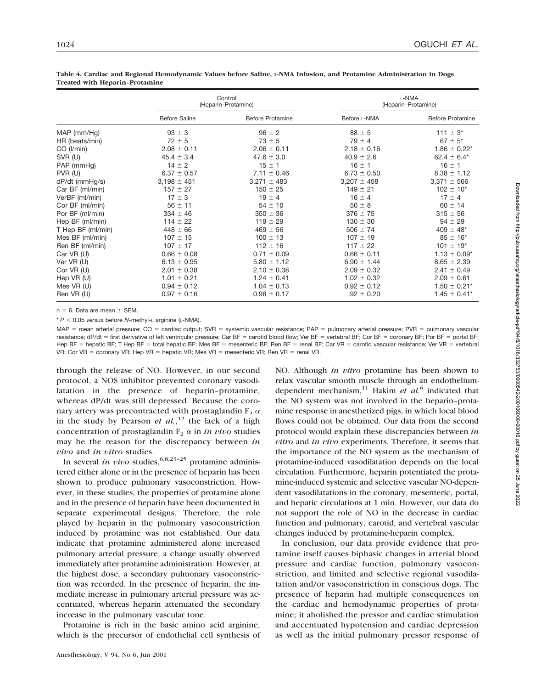|                   | Control<br>(Heparin-Protamine) |                         | L-NMA<br>(Heparin-Protamine) |                              |
|-------------------|--------------------------------|-------------------------|------------------------------|------------------------------|
|                   | <b>Before Saline</b>           | <b>Before Protamine</b> | Before L-NMA                 | <b>Before Protamine</b>      |
| MAP (mm/Hg)       | $93 \pm 3$                     | $96 \pm 2$              | $88 \pm 5$                   | 111 $\pm$ 3 <sup>*</sup>     |
| HR (beats/min)    | $72 \pm 5$                     | $73 \pm 5$              | $79 \pm 4$                   | $67 \pm 5^*$                 |
| CO (I/min)        | $2.08 \pm 0.11$                | $2.06 \pm 0.11$         | $2.18 \pm 0.16$              | $1.86 \pm 0.22^*$            |
| SVR (U)           | $45.4 \pm 3.4$                 | $47.6 \pm 3.0$          | $40.9 \pm 2.6$               | $62.4 \pm 6.4*$              |
| PAP (mmHg)        | $14 \pm 2$                     | $15 \pm 1$              | $16 \pm 1$                   | $16 \pm 1$                   |
| PVR(U)            | $6.37 \pm 0.57$                | $7.11 \pm 0.46$         | $6.73 \pm 0.50$              | $8.38 \pm 1.12$              |
| $dP/dt$ (mmHg/s)  | $3,198 \pm 451$                | $3,271 \pm 483$         | $3,207 \pm 458$              | $3,371 \pm 566$              |
| Car BF (ml/min)   | $157 \pm 27$                   | $150 \pm 25$            | $149 \pm 21$                 | $102 \pm 10^{*}$             |
| VerBF (ml/min)    | $17 \pm 3$                     | $19 \pm 4$              | $16 \pm 4$                   | $17 \pm 4$                   |
| Cor BF (ml/min)   | $56 \pm 11$                    | $54 \pm 10$             | $50 \pm 8$                   | $60 \pm 14$                  |
| Por BF (ml/min)   | $334 \pm 46$                   | $350 \pm 36$            | $376 \pm 75$                 | $315 \pm 56$                 |
| Hep BF (ml/min)   | $114 \pm 22$                   | $119 \pm 29$            | $130 \pm 30$                 | $94 \pm 29$                  |
| T Hep BF (ml/min) | $448 \pm 66$                   | $469 \pm 56$            | $506 \pm 74$                 | $409 \pm 48$ *               |
| Mes BF (ml/min)   | $107 \pm 15$                   | $100 \pm 13$            | $107 \pm 19$                 | $85 \pm 16$ *                |
| Ren BF (ml/min)   | $107 \pm 17$                   | $112 \pm 16$            | $117 \pm 22$                 | $101 \pm 19$ <sup>*</sup>    |
| Car VR (U)        | $0.66 \pm 0.08$                | $0.71 \pm 0.09$         | $0.66 \pm 0.11$              | $1.13 \pm 0.09*$             |
| Ver $VR(U)$       | $6.13 \pm 0.95$                | $5.80 \pm 1.12$         | $6.90 \pm 1.44$              | $8.65 \pm 2.39$              |
| Cor VR (U)        | $2.01 \pm 0.38$                | $2.10 \pm 0.38$         | $2.09 \pm 0.32$              | $2.41 \pm 0.49$              |
| Hep $VR(U)$       | $1.01 \pm 0.21$                | $1.24 \pm 0.41$         | $1.02 \pm 0.32$              | $2.09 \pm 0.61$              |
| Mes $VR(U)$       | $0.94 \pm 0.12$                | $1.04 \pm 0.13$         | $0.92 \pm 0.12$              | $1.50 \pm 0.21$ <sup>*</sup> |
| Ren VR (U)        | $0.97 \pm 0.16$                | $0.98 \pm 0.17$         | $.92 \pm 0.20$               | $1.45 \pm 0.41$ <sup>*</sup> |

**Table 4. Cardiac and Regional Hemodynamic Values before Saline, L-NMA Infusion, and Protamine Administration in Dogs Treated with Heparin–Protamine**

 $n = 6$ . Data are mean  $\pm$  SEM.

\* *P* , 0.05 *versus* before *N*-methyl-L arginine (L-NMA).

MAP = mean arterial pressure; CO = cardiac output; SVR = systemic vascular resistance; PAP = pulmonary arterial pressure; PVR = pulmonary vascular resistance; dP/dt = first derivative of left ventricular pressure; Car BF = carotid blood flow; Ver BF = vertebral BF; Cor BF = coronary BF; Por BF = portal BF; Hep BF = hepatic BF; T Hep BF = total hepatic BF; Mes BF = mesenteric BF; Ren BF = renal BF; Car VR = carotid vascular resistance; Ver VR = vertebral VR; Cor VR = coronary VR; Hep VR = hepatic VR; Mes VR = mesenteric VR; Ren VR = renal VR.

through the release of NO. However, in our second protocol, a NOS inhibitor prevented coronary vasodilatation in the presence of heparin–protamine, whereas dP/dt was still depressed. Because the coronary artery was precontracted with prostaglandin  $F_2 \alpha$ in the study by Pearson *et al.*,<sup>12</sup> the lack of a high concentration of prostaglandin  $F_2$   $\alpha$  in *in vivo* studies may be the reason for the discrepancy between *in vivo* and *in vitro* studies.

In several *in vivo* studies,  $6,8,23-25$  protamine administered either alone or in the presence of heparin has been shown to produce pulmonary vasoconstriction. However, in these studies, the properties of protamine alone and in the presence of heparin have been documented in separate experimental designs. Therefore, the role played by heparin in the pulmonary vasoconstriction induced by protamine was not established. Our data indicate that protamine administered alone increased pulmonary arterial pressure, a change usually observed immediately after protamine administration. However, at the highest dose, a secondary pulmonary vasoconstriction was recorded. In the presence of heparin, the immediate increase in pulmonary arterial pressure was accentuated, whereas heparin attenuated the secondary increase in the pulmonary vascular tone.

Protamine is rich in the basic amino acid arginine, which is the precursor of endothelial cell synthesis of NO. Although *in vitro* protamine has been shown to relax vascular smooth muscle through an endotheliumdependent mechanism,<sup>11</sup> Hakim *et al.*<sup>6</sup> indicated that the NO system was not involved in the heparin–protamine response in anesthetized pigs, in which local blood flows could not be obtained. Our data from the second protocol would explain these discrepancies between *in vitro* and *in vivo* experiments. Therefore, it seems that the importance of the NO system as the mechanism of protamine-induced vasodilatation depends on the local circulation. Furthermore, heparin potentiated the protamine-induced systemic and selective vascular NO-dependent vasodilatations in the coronary, mesenteric, portal, and hepatic circulations at 1 min. However, our data do not support the role of NO in the decrease in cardiac function and pulmonary, carotid, and vertebral vascular changes induced by protamine-heparin complex.

In conclusion, our data provide evidence that protamine itself causes biphasic changes in arterial blood pressure and cardiac function, pulmonary vasoconstriction, and limited and selective regional vasodilatation and/or vasoconstriction in conscious dogs. The presence of heparin had multiple consequences on the cardiac and hemodynamic properties of protamine; it abolished the pressor and cardiac stimulation and accentuated hypotension and cardiac depression as well as the initial pulmonary pressor response of